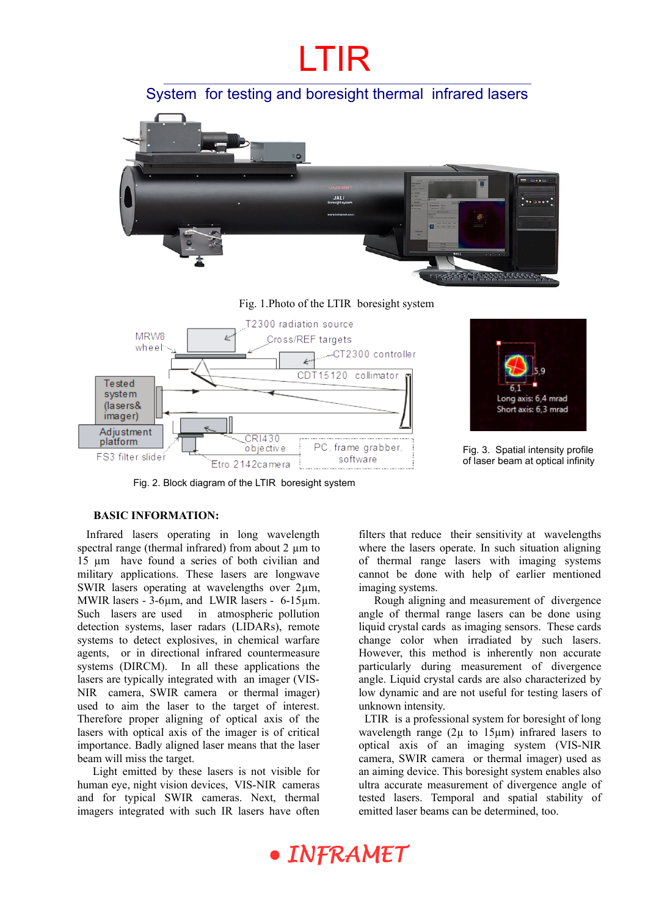

PC, frame grabber,

software

Fig. 3. Spatial intensity profile of laser beam at optical infinity

Etro 2142camera

objective

Fig. 2. Block diagram of the LTIR boresight system

### **BASIC INFORMATION:**

FS3 filter slider

 Infrared lasers operating in long wavelength spectral range (thermal infrared) from about  $2 \mu m$  to 15 µm have found a series of both civilian and military applications. These lasers are longwave SWIR lasers operating at wavelengths over  $2\mu m$ , MWIR lasers - 3-6µm, and LWIR lasers - 6-15µm. Such lasers are used in atmospheric pollution detection systems, laser radars (LIDARs), remote systems to detect explosives, in chemical warfare agents, or in directional infrared countermeasure systems (DIRCM). In all these applications the lasers are typically integrated with an imager (VIS-NIR camera, SWIR camera or thermal imager) used to aim the laser to the target of interest. Therefore proper aligning of optical axis of the lasers with optical axis of the imager is of critical importance. Badly aligned laser means that the laser beam will miss the target.

Light emitted by these lasers is not visible for human eye, night vision devices, VIS-NIR cameras and for typical SWIR cameras. Next, thermal imagers integrated with such IR lasers have often

filters that reduce their sensitivity at wavelengths where the lasers operate. In such situation aligning of thermal range lasers with imaging systems cannot be done with help of earlier mentioned imaging systems.

Rough aligning and measurement of divergence angle of thermal range lasers can be done using liquid crystal cards as imaging sensors. These cards change color when irradiated by such lasers. However, this method is inherently non accurate particularly during measurement of divergence angle. Liquid crystal cards are also characterized by low dynamic and are not useful for testing lasers of unknown intensity.

 LTIR is a professional system for boresight of long wavelength range (2 $\mu$  to 15 $\mu$ m) infrared lasers to optical axis of an imaging system (VIS-NIR camera, SWIR camera or thermal imager) used as an aiming device. This boresight system enables also ultra accurate measurement of divergence angle of tested lasers. Temporal and spatial stability of emitted laser beams can be determined, too.

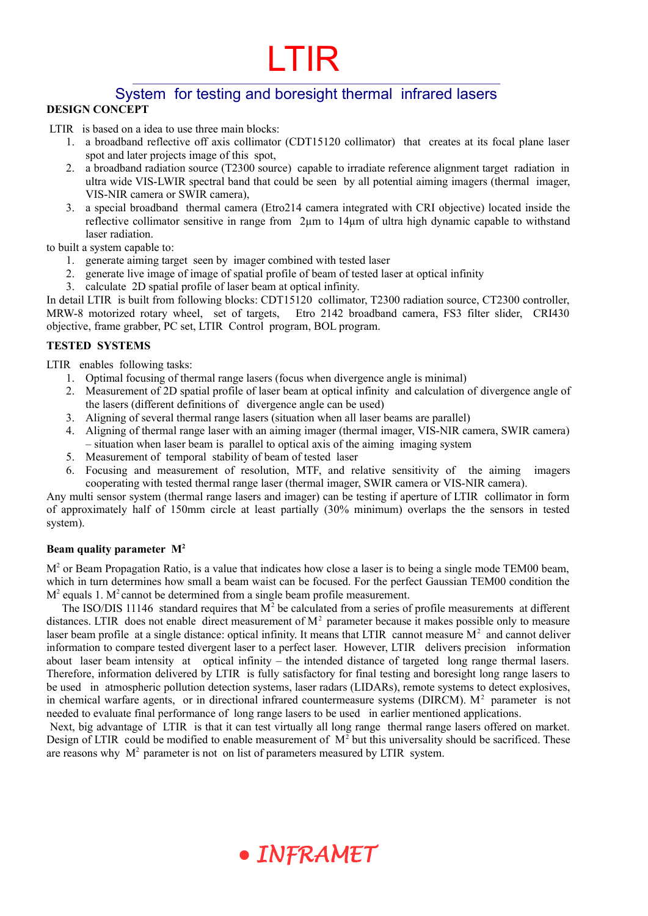#### System for testing and boresight thermal infrared lasers **DESIGN CONCEPT**

LTIR is based on a idea to use three main blocks:

- 1. a broadband reflective off axis collimator (CDT15120 collimator) that creates at its focal plane laser spot and later projects image of this spot,
- 2. a broadband radiation source (T2300 source) capable to irradiate reference alignment target radiation in ultra wide VIS-LWIR spectral band that could be seen by all potential aiming imagers (thermal imager, VIS-NIR camera or SWIR camera),
- 3. a special broadband thermal camera (Etro214 camera integrated with CRI objective) located inside the reflective collimator sensitive in range from 2µm to 14µm of ultra high dynamic capable to withstand laser radiation.

to built a system capable to:

- 1. generate aiming target seen by imager combined with tested laser
- 2. generate live image of image of spatial profile of beam of tested laser at optical infinity
- 3. calculate 2D spatial profile of laser beam at optical infinity.

In detail LTIR is built from following blocks: CDT15120 collimator, T2300 radiation source, CT2300 controller, MRW-8 motorized rotary wheel, set of targets, Etro 2142 broadband camera, FS3 filter slider, CRI430 objective, frame grabber, PC set, LTIR Control program, BOL program.

#### **TESTED SYSTEMS**

LTIR enables following tasks:

- 1. Optimal focusing of thermal range lasers (focus when divergence angle is minimal)
- 2. Measurement of 2D spatial profile of laser beam at optical infinity and calculation of divergence angle of the lasers (different definitions of divergence angle can be used)
- 3. Aligning of several thermal range lasers (situation when all laser beams are parallel)
- 4. Aligning of thermal range laser with an aiming imager (thermal imager, VIS-NIR camera, SWIR camera) – situation when laser beam is parallel to optical axis of the aiming imaging system
- 5. Measurement of temporal stability of beam of tested laser
- 6. Focusing and measurement of resolution, MTF, and relative sensitivity of the aiming imagers cooperating with tested thermal range laser (thermal imager, SWIR camera or VIS-NIR camera).

Any multi sensor system (thermal range lasers and imager) can be testing if aperture of LTIR collimator in form of approximately half of 150mm circle at least partially (30% minimum) overlaps the the sensors in tested system).

#### **Beam quality parameter M<sup>2</sup>**

 $M<sup>2</sup>$  or Beam Propagation Ratio, is a value that indicates how close a laser is to being a single mode TEM00 beam, which in turn determines how small a beam waist can be focused. For the perfect Gaussian TEM00 condition the  $M<sup>2</sup>$  equals 1.  $M<sup>2</sup>$  cannot be determined from a single beam profile measurement.

The ISO/DIS 11146 standard requires that  $M<sup>2</sup>$  be calculated from a series of profile measurements at different distances. LTIR does not enable direct measurement of  $M<sup>2</sup>$  parameter because it makes possible only to measure laser beam profile at a single distance: optical infinity. It means that LTIR cannot measure  $M<sup>2</sup>$  and cannot deliver information to compare tested divergent laser to a perfect laser. However, LTIR delivers precision information about laser beam intensity at optical infinity – the intended distance of targeted long range thermal lasers. Therefore, information delivered by LTIR is fully satisfactory for final testing and boresight long range lasers to be used in atmospheric pollution detection systems, laser radars (LIDARs), remote systems to detect explosives, in chemical warfare agents, or in directional infrared countermeasure systems ( $\text{DIRCM}$ ).  $\text{M}^2$  parameter is not needed to evaluate final performance of long range lasers to be used in earlier mentioned applications.

Next, big advantage of LTIR is that it can test virtually all long range thermal range lasers offered on market. Design of LTIR could be modified to enable measurement of  $M<sup>2</sup>$  but this universality should be sacrificed. These are reasons why  $M<sup>2</sup>$  parameter is not on list of parameters measured by LTIR system.

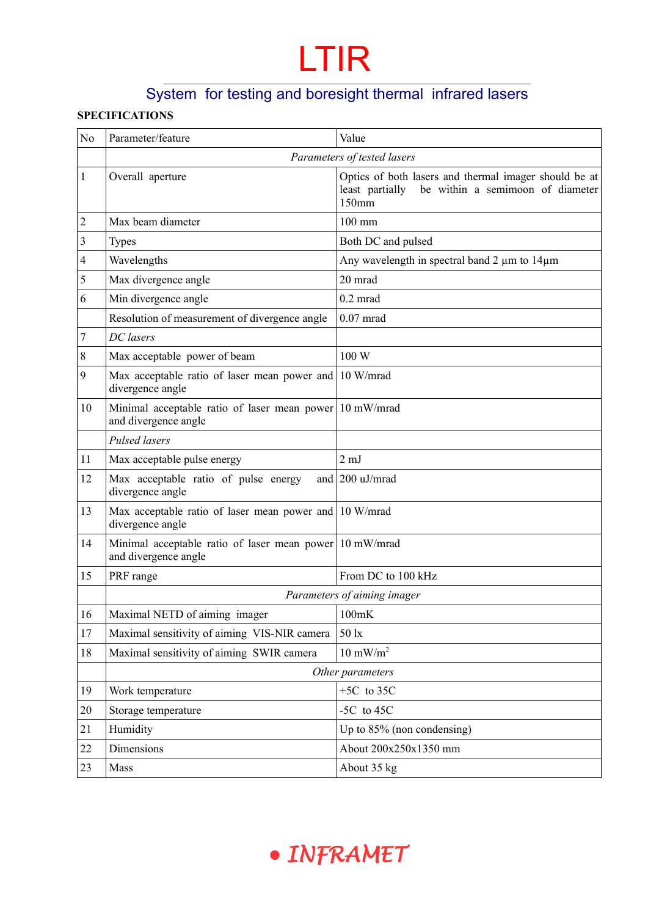## System for testing and boresight thermal infrared lasers

### **SPECIFICATIONS**

| No             | Parameter/feature                                                            | Value                                                                                                                 |  |
|----------------|------------------------------------------------------------------------------|-----------------------------------------------------------------------------------------------------------------------|--|
|                | Parameters of tested lasers                                                  |                                                                                                                       |  |
| 1              | Overall aperture                                                             | Optics of both lasers and thermal imager should be at<br>be within a semimoon of diameter<br>least partially<br>150mm |  |
| $\overline{c}$ | Max beam diameter                                                            | 100 mm                                                                                                                |  |
| 3              | <b>Types</b>                                                                 | Both DC and pulsed                                                                                                    |  |
| 4              | Wavelengths                                                                  | Any wavelength in spectral band 2 µm to 14µm                                                                          |  |
| 5              | Max divergence angle                                                         | 20 mrad                                                                                                               |  |
| 6              | Min divergence angle                                                         | $0.2$ mrad                                                                                                            |  |
|                | Resolution of measurement of divergence angle                                | $0.07$ mrad                                                                                                           |  |
| 7              | DC lasers                                                                    |                                                                                                                       |  |
| 8              | Max acceptable power of beam                                                 | 100 W                                                                                                                 |  |
| 9              | Max acceptable ratio of laser mean power and<br>divergence angle             | 10 W/mrad                                                                                                             |  |
| 10             | Minimal acceptable ratio of laser mean power<br>and divergence angle         | 10 mW/mrad                                                                                                            |  |
|                | Pulsed lasers                                                                |                                                                                                                       |  |
| 11             | Max acceptable pulse energy                                                  | $2 \text{ mJ}$                                                                                                        |  |
| 12             | Max acceptable ratio of pulse energy<br>divergence angle                     | and $\vert$ 200 uJ/mrad                                                                                               |  |
| 13             | Max acceptable ratio of laser mean power and $10$ W/mrad<br>divergence angle |                                                                                                                       |  |
| 14             | Minimal acceptable ratio of laser mean power<br>and divergence angle         | 10 mW/mrad                                                                                                            |  |
| 15             | PRF range                                                                    | From DC to 100 kHz                                                                                                    |  |
|                | Parameters of aiming imager                                                  |                                                                                                                       |  |
| 16             | Maximal NETD of aiming imager                                                | 100mK                                                                                                                 |  |
| 17             | Maximal sensitivity of aiming VIS-NIR camera                                 | 50 lx                                                                                                                 |  |
| 18             | Maximal sensitivity of aiming SWIR camera                                    | $10 \text{ mW/m}^2$                                                                                                   |  |
|                | Other parameters                                                             |                                                                                                                       |  |
| 19             | Work temperature                                                             | $+5C$ to 35C                                                                                                          |  |
| 20             | Storage temperature                                                          | -5C to $45C$                                                                                                          |  |
| 21             | Humidity                                                                     | Up to $85\%$ (non condensing)                                                                                         |  |
| 22             | Dimensions                                                                   | About 200x250x1350 mm                                                                                                 |  |
| 23             | Mass                                                                         | About 35 kg                                                                                                           |  |